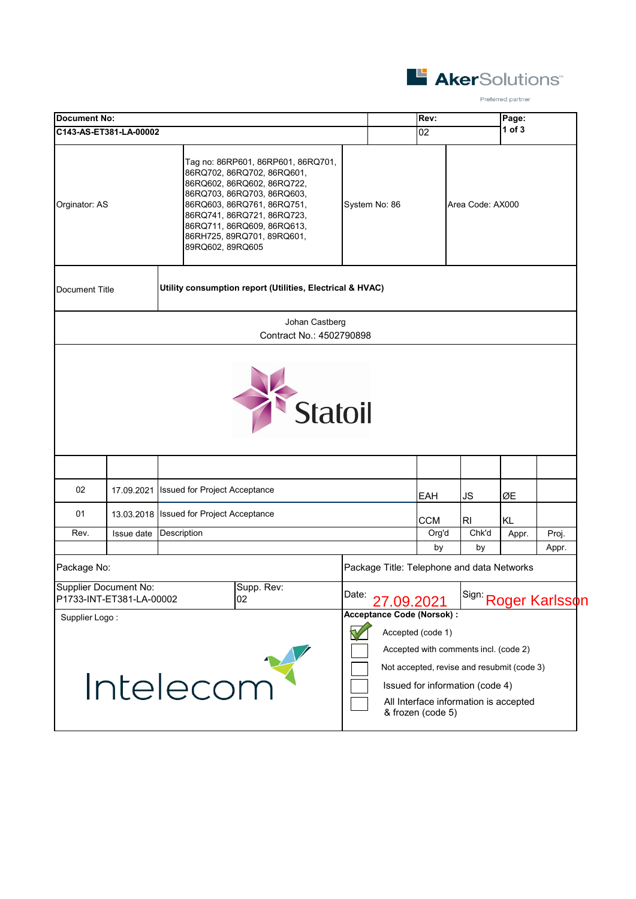

Preferred partner

| <b>Document No:</b>    |                                                          |                               |                                                                                                                                                                                                                                                      |       |               | Rev:       |                                            | Page:      |                                         |
|------------------------|----------------------------------------------------------|-------------------------------|------------------------------------------------------------------------------------------------------------------------------------------------------------------------------------------------------------------------------------------------------|-------|---------------|------------|--------------------------------------------|------------|-----------------------------------------|
| C143-AS-ET381-LA-00002 |                                                          |                               |                                                                                                                                                                                                                                                      |       |               | 02         |                                            | $1$ of $3$ |                                         |
| Orginator: AS          |                                                          | 89RQ602, 89RQ605              | Tag no: 86RP601, 86RP601, 86RQ701,<br>86RQ702, 86RQ702, 86RQ601,<br>86RQ602, 86RQ602, 86RQ722,<br>86RQ703, 86RQ703, 86RQ603,<br>86RQ603, 86RQ761, 86RQ751,<br>86RQ741, 86RQ721, 86RQ723,<br>86RQ711, 86RQ609, 86RQ613,<br>86RH725, 89RQ701, 89RQ601, |       | System No: 86 |            | Area Code: AX000                           |            |                                         |
| Document Title         |                                                          |                               | Utility consumption report (Utilities, Electrical & HVAC)                                                                                                                                                                                            |       |               |            |                                            |            |                                         |
|                        |                                                          |                               | Johan Castberg<br>Contract No.: 4502790898                                                                                                                                                                                                           |       |               |            |                                            |            |                                         |
|                        |                                                          |                               | Statoil                                                                                                                                                                                                                                              |       |               |            |                                            |            |                                         |
|                        |                                                          |                               |                                                                                                                                                                                                                                                      |       |               |            |                                            |            |                                         |
| 02                     | 17.09.2021                                               | Issued for Project Acceptance |                                                                                                                                                                                                                                                      |       |               | EAH        | JS                                         | ØΕ         |                                         |
| 01                     | 13.03.2018                                               | Issued for Project Acceptance |                                                                                                                                                                                                                                                      |       |               | <b>CCM</b> | RI                                         | <b>KL</b>  |                                         |
| Rev.                   | Issue date                                               | Description                   |                                                                                                                                                                                                                                                      |       |               | Org'd      | Chk'd                                      | Appr.      | Proj.                                   |
|                        |                                                          |                               |                                                                                                                                                                                                                                                      |       |               | by         | by                                         |            | Appr.                                   |
| Package No:            | <b>Supplier Document No:</b><br>P1733-INT-ET381-LA-00002 |                               | Supp. Rev:<br>02                                                                                                                                                                                                                                     | Date: | 27.09.2021    |            | Package Title: Telephone and data Networks |            | <sup>Sign:</sup> Roge <u>r Karlsson</u> |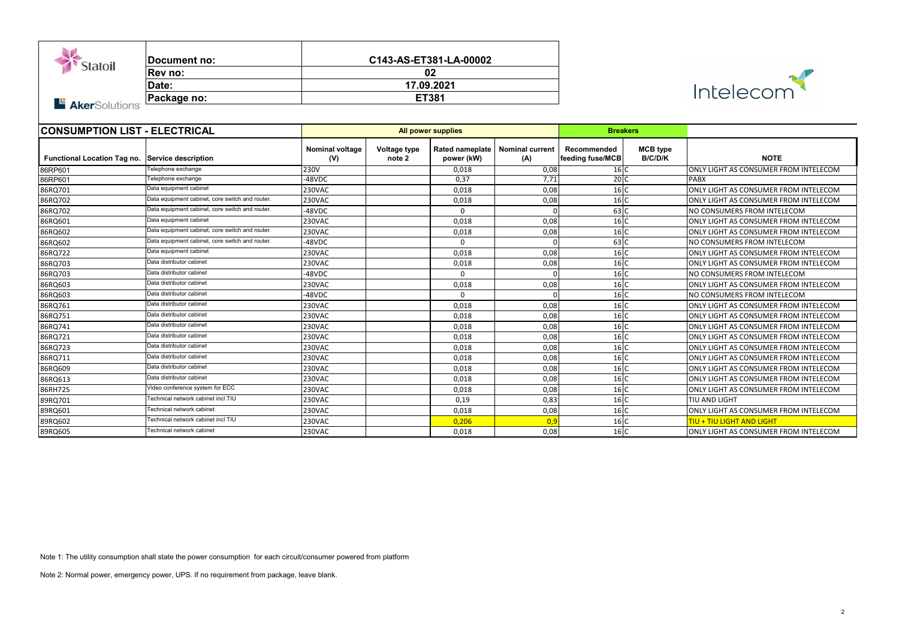| <b>Statoil</b><br><b>Aker</b> Solutions <sup>®</sup> | <b>Document no:</b><br>Rev no:<br>Date:<br><b>Package no:</b> | C143-AS-ET381-LA-00002<br>02<br>17.09.2021<br><b>ET381</b> |                               |                                                 |      |                                 | Intelecom                         |                                       |
|------------------------------------------------------|---------------------------------------------------------------|------------------------------------------------------------|-------------------------------|-------------------------------------------------|------|---------------------------------|-----------------------------------|---------------------------------------|
| <b>CONSUMPTION LIST - ELECTRICAL</b>                 |                                                               | <b>All power supplies</b>                                  |                               |                                                 |      | <b>Breakers</b>                 |                                   |                                       |
| Functional Location Tag no. Service description      |                                                               | <b>Nominal voltage</b><br>(V)                              | <b>Voltage type</b><br>note 2 | Rated nameplate   Nominal current<br>power (kW) | (A)  | Recommended<br>feeding fuse/MCB | <b>MCB</b> type<br><b>B/C/D/K</b> | <b>NOTE</b>                           |
| 86RP601                                              | Telephone exchange                                            | 230V                                                       |                               | 0,018                                           | 0,08 | 16 C                            |                                   | ONLY LIGHT AS CONSUMER FROM INTELECOM |
| 86RP601                                              | Telephone exchange                                            | -48VDC                                                     |                               | 0,37                                            | 7,71 | 20 C                            |                                   | <b>PABX</b>                           |
| 86RQ701                                              | Data equipment cabinet                                        | 230VAC                                                     |                               | 0,018                                           | 0,08 | 16 C                            |                                   | ONLY LIGHT AS CONSUMER FROM INTELECOM |
| 86RQ702                                              | Data equipment cabinet, core switch and router.               | 230VAC                                                     |                               | 0,018                                           | 0,08 | 16 C                            |                                   | ONLY LIGHT AS CONSUMER FROM INTELECOM |
| 86RQ702                                              | Data equipment cabinet, core switch and router.               | -48VDC                                                     |                               | $\Omega$                                        |      | 63 C                            |                                   | NO CONSUMERS FROM INTELECOM           |
| 86RQ601                                              | Data equipment cabinet                                        | 230VAC                                                     |                               | 0,018                                           | 0,08 | 16 C                            |                                   | ONLY LIGHT AS CONSUMER FROM INTELECOM |
| 86RQ602                                              | Data equipment cabinet, core switch and router.               | 230VAC                                                     |                               | 0,018                                           | 0,08 | 16 C                            |                                   | ONLY LIGHT AS CONSUMER FROM INTELECOM |
| 86RQ602                                              | Data equipment cabinet, core switch and router.               | -48VDC                                                     |                               | $\Omega$                                        | ∩    | $63$ C                          |                                   | NO CONSUMERS FROM INTELECOM           |
| 86RQ722                                              | Data equipment cabinet                                        | 230VAC                                                     |                               | 0,018                                           | 0,08 | 16 C                            |                                   | ONLY LIGHT AS CONSUMER FROM INTELECOM |
| 86RQ703                                              | Data distributor cabinet                                      | 230VAC                                                     |                               | 0,018                                           | 0,08 | 16 C                            |                                   | ONLY LIGHT AS CONSUMER FROM INTELECOM |
| 86RQ703                                              | Data distributor cabinet                                      | -48VDC                                                     |                               | $\Omega$                                        |      | 16 C                            |                                   | NO CONSUMERS FROM INTELECOM           |
| 86RQ603                                              | Data distributor cabinet                                      | 230VAC                                                     |                               | 0,018                                           | 0,08 | 16 C                            |                                   | ONLY LIGHT AS CONSUMER FROM INTELECOM |
| 86RQ603                                              | Data distributor cabinet                                      | -48VDC                                                     |                               | $\Omega$                                        |      | 16 C                            |                                   | NO CONSUMERS FROM INTELECOM           |
| 86RQ761                                              | Data distributor cabinet                                      | 230VAC                                                     |                               | 0,018                                           | 0,08 | 16 C                            |                                   | ONLY LIGHT AS CONSUMER FROM INTELECOM |
| 86RQ751                                              | Data distributor cabinet                                      | 230VAC                                                     |                               | 0,018                                           | 0,08 | 16 C                            |                                   | ONLY LIGHT AS CONSUMER FROM INTELECOM |
| 86RQ741                                              | Data distributor cabinet                                      | 230VAC                                                     |                               | 0,018                                           | 0,08 | 16 C                            |                                   | ONLY LIGHT AS CONSUMER FROM INTELECOM |
| 86RQ721                                              | Data distributor cabinet                                      | 230VAC                                                     |                               | 0,018                                           | 0,08 | 16 C                            |                                   | ONLY LIGHT AS CONSUMER FROM INTELECOM |
| 86RQ723                                              | Data distributor cabinet                                      | 230VAC                                                     |                               | 0,018                                           | 0,08 | 16 C                            |                                   | ONLY LIGHT AS CONSUMER FROM INTELECOM |
| 86RQ711                                              | Data distributor cabinet                                      | 230VAC                                                     |                               | 0,018                                           | 0,08 | 16 C                            |                                   | ONLY LIGHT AS CONSUMER FROM INTELECOM |
| 86RQ609                                              | Data distributor cabinet                                      | 230VAC                                                     |                               | 0,018                                           | 0,08 | 16 C                            |                                   | ONLY LIGHT AS CONSUMER FROM INTELECOM |
| 86RQ613                                              | Data distributor cabinet                                      | 230VAC                                                     |                               | 0,018                                           | 0,08 | 16C                             |                                   | ONLY LIGHT AS CONSUMER FROM INTELECOM |
| 86RH725                                              | Video conference system for ECC                               | 230VAC                                                     |                               | 0,018                                           | 0,08 | 16C                             |                                   | ONLY LIGHT AS CONSUMER FROM INTELECOM |
| 89RQ701                                              | Technical network cabinet incl TIU                            | 230VAC                                                     |                               | 0,19                                            | 0,83 | 16 C                            |                                   | TIU AND LIGHT                         |
| 89RQ601                                              | Fechnical network cabinet                                     | 230VAC                                                     |                               | 0,018                                           | 0,08 | 16 C                            |                                   | ONLY LIGHT AS CONSUMER FROM INTELECOM |
| 89RQ602                                              | Technical network cabinet incl TIU                            | 230VAC                                                     |                               | 0,206                                           | 0,9  | 16C                             |                                   | <b>TIU + TIU LIGHT AND LIGHT</b>      |
| 89RQ605                                              | Technical network cabinet                                     | 230VAC                                                     |                               | 0,018                                           | 0,08 | 16 C                            |                                   | ONLY LIGHT AS CONSUMER FROM INTELECOM |

Note 1: The utility consumption shall state the power consumption for each circuit/consumer powered from platform

Note 2: Normal power, emergency power, UPS. If no requirement from package, leave blank.